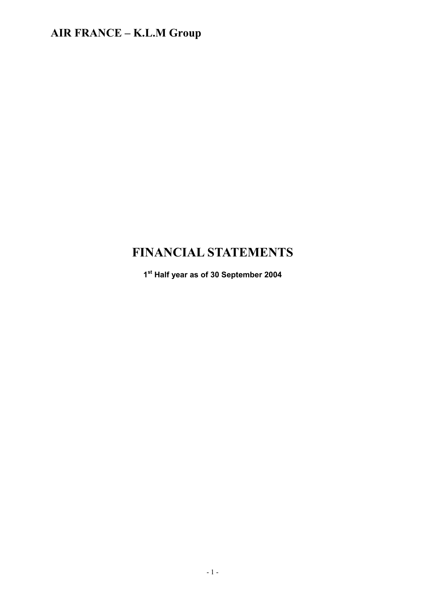# **FINANCIAL STATEMENTS**

**1st Half year as of 30 September 2004**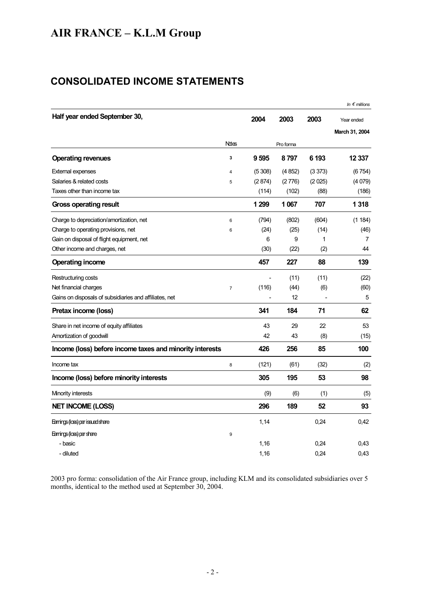### **CONSOLIDATED INCOME STATEMENTS**

|                                                          |                |         |           |        | In $\epsilon$ millions       |
|----------------------------------------------------------|----------------|---------|-----------|--------|------------------------------|
| Half year ended September 30,                            |                | 2004    | 2003      | 2003   | Year ended<br>March 31, 2004 |
|                                                          | <b>Ndes</b>    |         | Pro forma |        |                              |
| <b>Operating revenues</b>                                | 3              | 9595    | 8797      | 6 193  | 12 337                       |
| <b>External expenses</b>                                 | $\overline{4}$ | (5308)  | (4852)    | (3373) | (6754)                       |
| Salaries & related costs                                 | 5              | (2874)  | (2776)    | (2025) | (4079)                       |
| Taxes other than income tax                              |                | (114)   | (102)     | (88)   | (186)                        |
| <b>Gross operating result</b>                            |                | 1 2 9 9 | 1 0 67    | 707    | 1318                         |
| Charge to depreciation/amortization, net                 | 6              | (794)   | (802)     | (604)  | (1 184)                      |
| Charge to operating provisions, net                      | 6              | (24)    | (25)      | (14)   | (46)                         |
| Gain on disposal of flight equipment, net                |                | 6       | 9         | 1      | 7                            |
| Other income and charges, net                            |                | (30)    | (22)      | (2)    | 44                           |
| <b>Operating income</b>                                  |                | 457     | 227       | 88     | 139                          |
| Restructuring costs                                      |                |         | (11)      | (11)   | (22)                         |
| Net financial charges                                    | $\overline{7}$ | (116)   | (44)      | (6)    | (60)                         |
| Gains on disposals of subsidiaries and affiliates, net   |                |         | 12        |        | 5                            |
| Pretax income (loss)                                     |                | 341     | 184       | 71     | 62                           |
| Share in net income of equity affiliates                 |                | 43      | 29        | 22     | 53                           |
| Amortization of goodwill                                 |                | 42      | 43        | (8)    | (15)                         |
| Income (loss) before income taxes and minority interests |                | 426     | 256       | 85     | 100                          |
| Income tax                                               | 8              | (121)   | (61)      | (32)   | (2)                          |
| Income (loss) before minority interests                  |                | 305     | 195       | 53     | 98                           |
| Minority interests                                       |                | (9)     | (6)       | (1)    | (5)                          |
| <b>NET INCOME (LOSS)</b>                                 |                | 296     | 189       | 52     | 93                           |
| Earrings (loss) per issued share                         |                | 1,14    |           | 0,24   | 0,42                         |
| Earrings (loss) per share                                | 9              |         |           |        |                              |
| - basic                                                  |                | 1,16    |           | 0.24   | 0.43                         |
| - diluted                                                |                | 1,16    |           | 0,24   | 0,43                         |

2003 pro forma: consolidation of the Air France group, including KLM and its consolidated subsidiaries over 5 months, identical to the method used at September 30, 2004.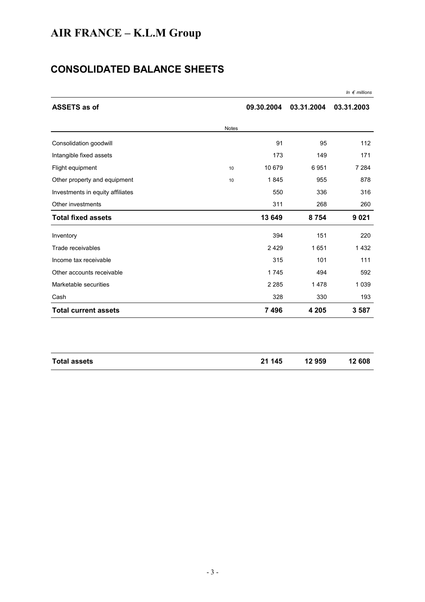# **CONSOLIDATED BALANCE SHEETS**

| <b>ASSETS as of</b>              |              | 09.30.2004 | 03.31.2004 | 03.31.2003 |
|----------------------------------|--------------|------------|------------|------------|
|                                  | <b>Notes</b> |            |            |            |
| Consolidation goodwill           |              | 91         | 95         | 112        |
| Intangible fixed assets          |              | 173        | 149        | 171        |
| Flight equipment                 | 10           | 10 679     | 6951       | 7 2 8 4    |
| Other property and equipment     | 10           | 1845       | 955        | 878        |
| Investments in equity affiliates |              | 550        | 336        | 316        |
| Other investments                |              | 311        | 268        | 260        |
| <b>Total fixed assets</b>        |              | 13 649     | 8754       | 9 0 21     |
| Inventory                        |              | 394        | 151        | 220        |
| Trade receivables                |              | 2 4 2 9    | 1651       | 1432       |
| Income tax receivable            |              | 315        | 101        | 111        |
| Other accounts receivable        |              | 1745       | 494        | 592        |
| Marketable securities            |              | 2 2 8 5    | 1478       | 1 0 3 9    |
| Cash                             |              | 328        | 330        | 193        |
| <b>Total current assets</b>      |              | 7496       | 4 2 0 5    | 3587       |

| <b>Total assets</b> | 21 145 | 12 959 | 12 608 |
|---------------------|--------|--------|--------|
|                     |        |        |        |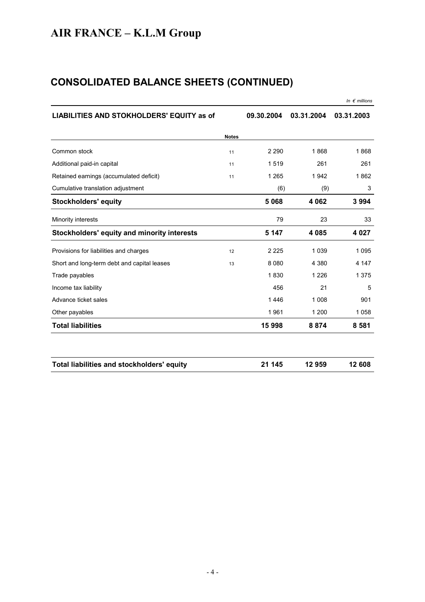# **CONSOLIDATED BALANCE SHEETS (CONTINUED)**

|                                             |              |            |            | In $\epsilon$ millions |
|---------------------------------------------|--------------|------------|------------|------------------------|
| LIABILITIES AND STOKHOLDERS' EQUITY as of   |              | 09.30.2004 | 03.31.2004 | 03.31.2003             |
|                                             | <b>Notes</b> |            |            |                        |
| Common stock                                | 11           | 2 2 9 0    | 1868       | 1868                   |
| Additional paid-in capital                  | 11           | 1519       | 261        | 261                    |
| Retained earnings (accumulated deficit)     | 11           | 1 2 6 5    | 1942       | 1862                   |
| Cumulative translation adjustment           |              | (6)        | (9)        | 3                      |
| <b>Stockholders' equity</b>                 |              | 5 0 68     | 4 0 6 2    | 3994                   |
| Minority interests                          |              | 79         | 23         | 33                     |
| Stockholders' equity and minority interests |              | 5 1 4 7    | 4085       | 4 0 2 7                |
| Provisions for liabilities and charges      | 12           | 2 2 2 5    | 1 0 3 9    | 1095                   |
| Short and long-term debt and capital leases | 13           | 8 0 8 0    | 4 3 8 0    | 4 1 4 7                |
| Trade payables                              |              | 1830       | 1 2 2 6    | 1 375                  |
| Income tax liability                        |              | 456        | 21         | 5                      |
| Advance ticket sales                        |              | 1446       | 1 0 0 8    | 901                    |
| Other payables                              |              | 1961       | 1 200      | 1058                   |
| <b>Total liabilities</b>                    |              | 15 998     | 8874       | 8 5 8 1                |
|                                             |              |            |            |                        |
| Total liabilities and stockholders' equity  |              | 21 145     | 12959      | 12 608                 |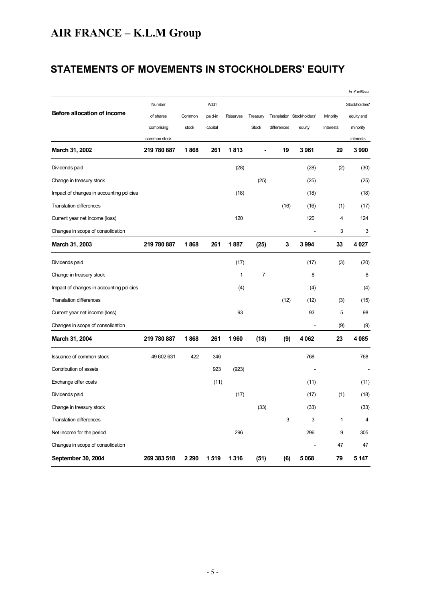# **STATEMENTS OF MOVEMENTS IN STOCKHOLDERS' EQUITY**

|                                          |              |         |         |                 |                |             |                           |             | In $\epsilon$ millions |
|------------------------------------------|--------------|---------|---------|-----------------|----------------|-------------|---------------------------|-------------|------------------------|
|                                          | Number       |         | Add'l   |                 |                |             |                           |             | Stockholders'          |
| Before allocation of income              | of shares    | Common  | paid-in | <b>Réserves</b> | Treasury       |             | Translation Stockholders' | Minority    | equity and             |
|                                          | comprising   | stock   | capital |                 | <b>Stock</b>   | differences | equity                    | interests   | minority               |
|                                          | common stock |         |         |                 |                |             |                           |             | interests              |
| March 31, 2002                           | 219 780 887  | 1868    | 261     | 1813            |                | 19          | 3961                      | 29          | 3990                   |
| Dividends paid                           |              |         |         | (28)            |                |             | (28)                      | (2)         | (30)                   |
| Change in treasury stock                 |              |         |         |                 | (25)           |             | (25)                      |             | (25)                   |
| Impact of changes in accounting policies |              |         |         | (18)            |                |             | (18)                      |             | (18)                   |
| <b>Translation differences</b>           |              |         |         |                 |                | (16)        | (16)                      | (1)         | (17)                   |
| Current year net income (loss)           |              |         |         | 120             |                |             | 120                       | 4           | 124                    |
| Changes in scope of consolidation        |              |         |         |                 |                |             |                           | 3           | 3                      |
| March 31, 2003                           | 219 780 887  | 1868    | 261     | 1887            | (25)           | 3           | 3 994                     | 33          | 4 0 27                 |
| Dividends paid                           |              |         |         | (17)            |                |             | (17)                      | (3)         | (20)                   |
| Change in treasury stock                 |              |         |         | 1               | $\overline{7}$ |             | 8                         |             | 8                      |
| Impact of changes in accounting policies |              |         |         | (4)             |                |             | (4)                       |             | (4)                    |
| <b>Translation differences</b>           |              |         |         |                 |                | (12)        | (12)                      | (3)         | (15)                   |
| Current year net income (loss)           |              |         |         | 93              |                |             | 93                        | 5           | 98                     |
| Changes in scope of consolidation        |              |         |         |                 |                |             |                           | (9)         | (9)                    |
| March 31, 2004                           | 219 780 887  | 1868    | 261     | 1960            | (18)           | (9)         | 4 0 6 2                   | 23          | 4 0 8 5                |
| Issuance of common stock                 | 49 602 631   | 422     | 346     |                 |                |             | 768                       |             | 768                    |
| Contribution of assets                   |              |         | 923     | (923)           |                |             |                           |             |                        |
| Exchange offer costs                     |              |         | (11)    |                 |                |             | (11)                      |             | (11)                   |
| Dividends paid                           |              |         |         | (17)            |                |             | (17)                      | (1)         | (18)                   |
| Change in treasury stock                 |              |         |         |                 | (33)           |             | (33)                      |             | (33)                   |
| <b>Translation differences</b>           |              |         |         |                 |                | 3           | 3                         | $\mathbf 1$ | 4                      |
| Net income for the period                |              |         |         | 296             |                |             | 296                       | 9           | 305                    |
| Changes in scope of consolidation        |              |         |         |                 |                |             |                           | 47          | 47                     |
| September 30, 2004                       | 269 383 518  | 2 2 9 0 | 1519    | 1 3 1 6         | (51)           | (6)         | 5 0 68                    | 79          | 5 1 4 7                |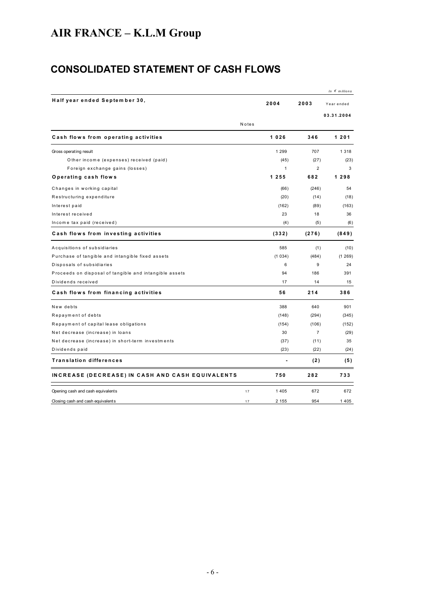# **CONSOLIDATED STATEMENT OF CASH FLOWS**

|                                                        |       |              |                | In $\epsilon$ millions |
|--------------------------------------------------------|-------|--------------|----------------|------------------------|
| Half year ended September 30,                          |       | 2004         | 2003           | Year ended             |
|                                                        |       |              |                | 03.31.2004             |
|                                                        | Notes |              |                |                        |
| Cash flows from operating activities                   |       | 1026         | 346            | 1 2 0 1                |
| Gross operating result                                 |       | 1 2 9 9      | 707            | 1 3 1 8                |
| Other income (expenses) received (paid)                |       | (45)         | (27)           | (23)                   |
| Foreign exchange gains (losses)                        |       | $\mathbf{1}$ | $\overline{2}$ | 3                      |
| Operating cash flows                                   |       | 1255         | 682            | 1 2 9 8                |
| Changes in working capital                             |       | (66)         | (246)          | 54                     |
| Restructuring expenditure                              |       | (20)         | (14)           | (18)                   |
| Interest paid                                          |       | (162)        | (89)           | (163)                  |
| Interest received                                      |       | 23           | 18             | 36                     |
| Income tax paid (received)                             |       | (4)          | (5)            | (6)                    |
| Cash flows from investing activities                   |       | (332)        | (276)          | (849)                  |
| Acquisitions of subsidiaries                           |       | 585          | (1)            | (10)                   |
| Purchase of tangible and intangible fixed assets       |       | (1034)       | (484)          | (1269)                 |
| Disposals of subsidiaries                              |       | 6            | 9              | 24                     |
| Proceeds on disposal of tangible and intangible assets |       | 94           | 186            | 391                    |
| Dividends received                                     |       | 17           | 14             | 15                     |
| Cash flows from financing activities                   |       | 56           | 214            | 386                    |
| New debts                                              |       | 388          | 640            | 901                    |
| Repayment of debts                                     |       | (148)        | (294)          | (345)                  |
| Repayment of capital lease obligations                 |       | (154)        | (106)          | (152)                  |
| Net decrease (increase) in loans                       |       | 30           | $\overline{7}$ | (29)                   |
| Net decrease (increase) in short-term investments      |       | (37)         | (11)           | 35                     |
| Dividends paid                                         |       | (23)         | (22)           | (24)                   |
| <b>Translation differences</b>                         |       |              | (2)            | (5)                    |
| INCREASE (DECREASE) IN CASH AND CASH EQUIVALENTS       |       | 750          | 282            | 733                    |
| Opening cash and cash equivalents                      | 17    | 1 4 0 5      | 672            | 672                    |
| Closing cash and cash equivalents                      | 17    | 2 1 5 5      | 954            | 1405                   |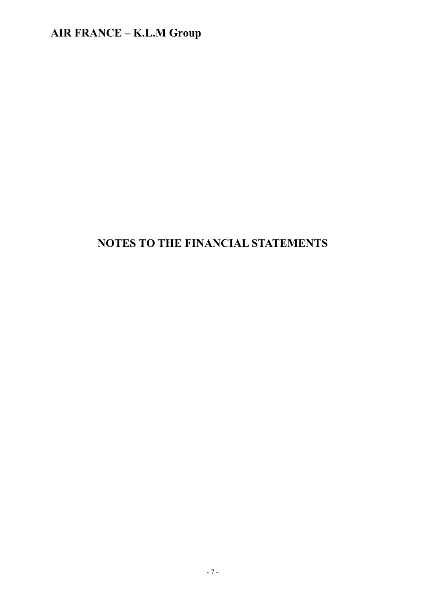# **NOTES TO THE FINANCIAL STATEMENTS**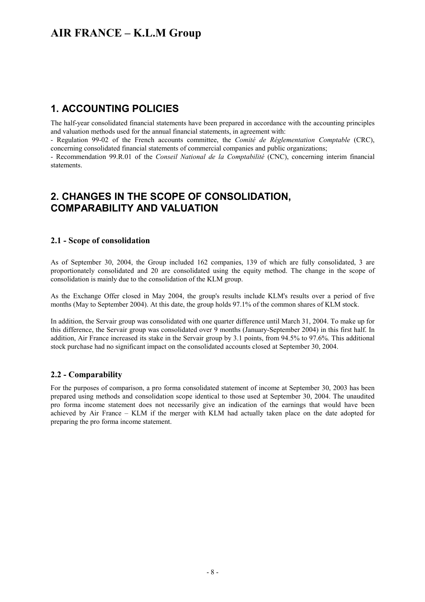#### **1. ACCOUNTING POLICIES**

The half-year consolidated financial statements have been prepared in accordance with the accounting principles and valuation methods used for the annual financial statements, in agreement with:

- Regulation 99-02 of the French accounts committee, the *Comité de Réglementation Comptable* (CRC), concerning consolidated financial statements of commercial companies and public organizations;

- Recommendation 99.R.01 of the *Conseil National de la Comptabilité* (CNC), concerning interim financial statements.

#### **2. CHANGES IN THE SCOPE OF CONSOLIDATION, COMPARABILITY AND VALUATION**

#### **2.1 - Scope of consolidation**

As of September 30, 2004, the Group included 162 companies, 139 of which are fully consolidated, 3 are proportionately consolidated and 20 are consolidated using the equity method. The change in the scope of consolidation is mainly due to the consolidation of the KLM group.

As the Exchange Offer closed in May 2004, the group's results include KLM's results over a period of five months (May to September 2004). At this date, the group holds 97.1% of the common shares of KLM stock.

In addition, the Servair group was consolidated with one quarter difference until March 31, 2004. To make up for this difference, the Servair group was consolidated over 9 months (January-September 2004) in this first half. In addition, Air France increased its stake in the Servair group by 3.1 points, from 94.5% to 97.6%. This additional stock purchase had no significant impact on the consolidated accounts closed at September 30, 2004.

#### **2.2 - Comparability**

For the purposes of comparison, a pro forma consolidated statement of income at September 30, 2003 has been prepared using methods and consolidation scope identical to those used at September 30, 2004. The unaudited pro forma income statement does not necessarily give an indication of the earnings that would have been achieved by Air France – KLM if the merger with KLM had actually taken place on the date adopted for preparing the pro forma income statement.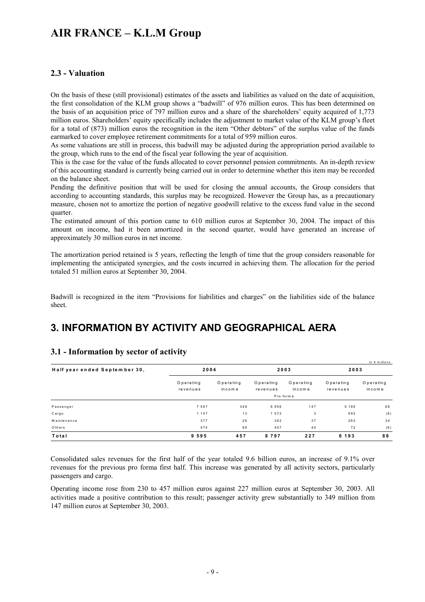#### **2.3 - Valuation**

On the basis of these (still provisional) estimates of the assets and liabilities as valued on the date of acquisition, the first consolidation of the KLM group shows a "badwill" of 976 million euros. This has been determined on the basis of an acquisition price of 797 million euros and a share of the shareholders' equity acquired of 1,773 million euros. Shareholders' equity specifically includes the adjustment to market value of the KLM group's fleet for a total of (873) million euros the recognition in the item "Other debtors" of the surplus value of the funds earmarked to cover employee retirement commitments for a total of 959 million euros.

As some valuations are still in process, this badwill may be adjusted during the appropriation period available to the group, which runs to the end of the fiscal year following the year of acquisition.

This is the case for the value of the funds allocated to cover personnel pension commitments. An in-depth review of this accounting standard is currently being carried out in order to determine whether this item may be recorded on the balance sheet.

Pending the definitive position that will be used for closing the annual accounts, the Group considers that according to accounting standards, this surplus may be recognized. However the Group has, as a precautionary measure, chosen not to amortize the portion of negative goodwill relative to the excess fund value in the second quarter.

The estimated amount of this portion came to 610 million euros at September 30, 2004. The impact of this amount on income, had it been amortized in the second quarter, would have generated an increase of approximately 30 million euros in net income.

The amortization period retained is 5 years, reflecting the length of time that the group considers reasonable for implementing the anticipated synergies, and the costs incurred in achieving them. The allocation for the period totaled 51 million euros at September 30, 2004.

Badwill is recognized in the item "Provisions for liabilities and charges" on the liabilities side of the balance sheet.

### **3. INFORMATION BY ACTIVITY AND GEOGRAPHICAL AERA**

| Half year ended September 30, |                       | 2004                |                       | 2003                | In $\epsilon$ millions<br>2003 |                     |  |
|-------------------------------|-----------------------|---------------------|-----------------------|---------------------|--------------------------------|---------------------|--|
|                               | Operating<br>revenues | Operating<br>income | Operating<br>revenues | Operating<br>income | Operating<br>revenues          | Operating<br>income |  |
|                               | Pro form a            |                     |                       |                     |                                |                     |  |
| Passenger                     | 7 5 9 7               | 349                 | 6956                  | 147                 | 5 1 6 6                        | 68                  |  |
| Cargo                         | 1 1 4 7               | 13                  | 1072                  | 3                   | 692                            | (8)                 |  |
| Maintenance                   | 377                   | 26                  | 362                   | 37                  | 263                            | 34                  |  |
| Others                        | 474                   | 69                  | 407                   | 40                  | 72                             | (6)                 |  |
| Total                         | 9595                  | 457                 | 8797                  | 227                 | 6 1 9 3                        | 88                  |  |

#### **3.1 - Information by sector of activity**

Consolidated sales revenues for the first half of the year totaled 9.6 billion euros, an increase of 9.1% over revenues for the previous pro forma first half. This increase was generated by all activity sectors, particularly passengers and cargo.

Operating income rose from 230 to 457 million euros against 227 million euros at September 30, 2003. All activities made a positive contribution to this result; passenger activity grew substantially to 349 million from 147 million euros at September 30, 2003.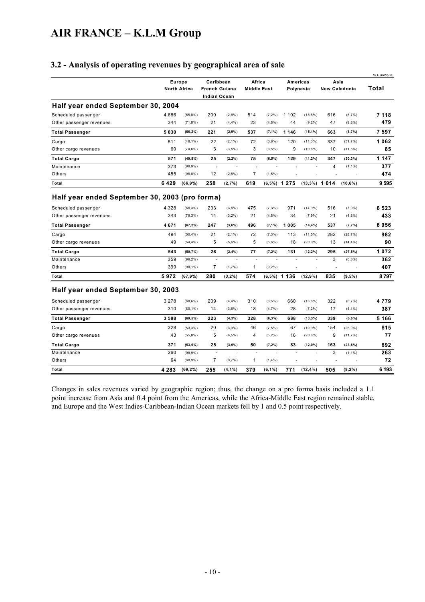#### **3.2 - Analysis of operating revenues by geographical area of sale**

|                                                |         |                     |                     |               |                          |            |                 |             |                 |                      | In $\epsilon$ millions |
|------------------------------------------------|---------|---------------------|---------------------|---------------|--------------------------|------------|-----------------|-------------|-----------------|----------------------|------------------------|
|                                                |         | Europe              | Caribbean           |               | Africa                   |            |                 | Americas    |                 | Asia                 |                        |
|                                                |         | <b>North Africa</b> |                     | French Guiana | <b>Middle East</b>       |            |                 | Polynesia   |                 | <b>New Caledonia</b> | Total                  |
|                                                |         |                     | <b>Indian Ocean</b> |               |                          |            |                 |             |                 |                      |                        |
| Half year ended September 30, 2004             |         |                     |                     |               |                          |            |                 |             |                 |                      |                        |
| Scheduled passenger                            | 4686    | (65,8%)             | 200                 | (2,8% )       | 514                      | $(7, 2\%)$ | 1 1 0 2         | $(15,5\%)$  | 616             | (8,7%                | 7 1 1 8                |
| Other passenger revenues                       | 344     | (71,8%)             | 21                  | (4,4% )       | 23                       | (4,8%      | 44              | (9,2% )     | 47              | (9,8%                | 479                    |
| <b>Total Passenger</b>                         | 5030    | (66, 2%)            | 221                 | (2,9%         | 537                      | $(7, 1\%)$ | 1 1 4 6         | $(15, 1\%)$ | 663             | (8,7%                | 7597                   |
| Cargo                                          | 511     | $(48, 1\%)$         | 22                  | (2,1% )       | 72                       | (6,8% )    | 120             | $(11,3\%)$  | 337             | (31,7%)              | 1062                   |
| Other cargo revenues                           | 60      | $(70, 6\%)$         | 3                   | $(3.5\%)$     | 3                        | $(3.5\%)$  | 9               | $(10.6\%)$  | 10              | $(11,8\%)$           | 85                     |
| <b>Total Cargo</b>                             | 571     | (49,8%)             | 25                  | (2,2% )       | 75                       | (6,5%)     | 129             | (11,2%)     | 347             | $(30, 3\%)$          | 1 1 4 7                |
| Maintenance                                    | 373     | (98,9%)             | L.                  |               | $\sim$                   | L.         |                 |             | 4               | $(1, 1\%)$           | 377                    |
| Others                                         | 455     | $(96,0\%)$          | 12                  | (2,5% )       | $\overline{7}$           | $(1, 5\%)$ |                 |             |                 |                      | 474                    |
| Total                                          | 6429    | $(66, 9\%)$         | 258                 | (2,7%)        | 619                      |            | $(6,5\%)$ 1 275 |             | $(13,3\%)$ 1014 | (10,6%)              | 9595                   |
| Half year ended September 30, 2003 (pro forma) |         |                     |                     |               |                          |            |                 |             |                 |                      |                        |
| Scheduled passenger                            | 4 3 2 8 | $(66, 3\%)$         | 233                 | $(3,6\%)$     | 475                      | (7,3% )    | 971             | $(14,9\%)$  | 516             | (7,9%                | 6523                   |
| Other passenger revenues                       | 343     | (79,3%)             | 14                  | (3,2% )       | 21                       | (4,8%      | 34              | (7,9%       | 21              | (4,8%                | 433                    |
| <b>Total Passenger</b>                         | 4671    | (67, 2%)            | 247                 | (3,6%)        | 496                      | $(7, 1\%)$ | 1005            | $(14, 4\%)$ | 537             | (7,7%                | 6956                   |
| Cargo                                          | 494     | $(50, 4\%)$         | 21                  | (2,1% )       | 72                       | (7,3% )    | 113             | $(11,5\%)$  | 282             | (28,7%)              | 982                    |
| Other cargo revenues                           | 49      | $(54, 4\%)$         | 5                   | $(5,6\%)$     | 5                        | $(5,6\%)$  | 18              | $(20,0\%)$  | 13              | $(14, 4\%)$          | 90                     |
| <b>Total Cargo</b>                             | 543     | (50,7%)             | 26                  | (2,4% )       | 77                       | (7,2% )    | 131             | $(12, 2\%)$ | 295             | (27,5%)              | 1072                   |
| Maintenance                                    | 359     | $(99, 2\%)$         |                     | ÷,            | $\overline{\phantom{a}}$ |            |                 |             | 3               | (0,8% )              | 362                    |
| Others                                         | 399     | $(98, 1\%)$         | 7                   | (1,7%         | 1                        | $(0, 2\%)$ |                 |             |                 |                      | 407                    |
| Total                                          | 5972    | $(67, 9\%)$         | 280                 | (3,2% )       | 574                      |            | $(6,5\%)$ 1 136 | (12,9%)     | 835             | $(9.5\%)$            | 8797                   |
| Half year ended September 30, 2003             |         |                     |                     |               |                          |            |                 |             |                 |                      |                        |
| Scheduled passenger                            | 3 2 7 8 | $(68, 6\%)$         | 209                 | (4,4% )       | 310                      | $(6, 5\%)$ | 660             | $(13,8\%)$  | 322             | (6,7%                | 4779                   |
| Other passenger revenues                       | 310     | $(80, 1\%)$         | 14                  | $(3.6\%)$     | 18                       | (4,7%      | 28              | (7,2%       | 17              | $(4, 4\%)$           | 387                    |
| <b>Total Passenger</b>                         | 3588    | $(69, 5\%)$         | 223                 | (4,3% )       | 328                      | (6,3% )    | 688             | $(13,3\%)$  | 339             | (6,6%)               | 5 1 6 6                |
| Cargo                                          | 328     | (53,3%)             | 20                  | (3.3%)        | 46                       | $(7.5\%)$  | 67              | $(10.9\%)$  | 154             | $(25,0\%)$           | 615                    |
| Other cargo revenues                           | 43      | (55,8%)             | 5                   | $(6,5\%)$     | 4                        | (5,2% )    | 16              | $(20,8\%)$  | 9               | (11,7%)              | 77                     |
| <b>Total Cargo</b>                             | 371     | (53, 6%)            | 25                  | (3,6%)        | 50                       | $(7, 2\%)$ | 83              | $(12,0\%)$  | 163             | (23, 6%)             | 692                    |
| Maintenance                                    | 260     | (98,9%)             | $\blacksquare$      |               | ÷,                       |            |                 |             | 3               | $(1, 1\%)$           | 263                    |
| Others                                         | 64      | (88,9%)             | 7                   | (9,7%         | 1                        | (1,4% )    |                 |             |                 |                      | 72                     |
| Total                                          | 4 2 8 3 | $(69, 2\%)$         | 255                 | (4,1%         | 379                      | $(6, 1\%)$ | 771             | $(12, 4\%)$ | 505             | (8,2%)               | 6 193                  |

Changes in sales revenues varied by geographic region; thus, the change on a pro forma basis included a 1.1 point increase from Asia and 0.4 point from the Americas, while the Africa-Middle East region remained stable, and Europe and the West Indies-Caribbean-Indian Ocean markets fell by 1 and 0.5 point respectively.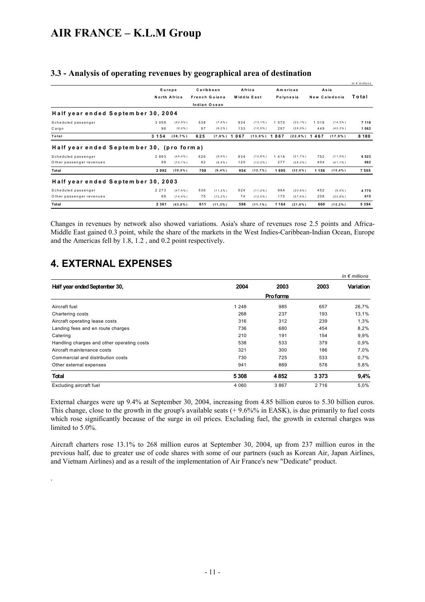|                                                  |            |                             |               |                        |            |                         |                |                         |            |                          | In $\epsilon$ millions |
|--------------------------------------------------|------------|-----------------------------|---------------|------------------------|------------|-------------------------|----------------|-------------------------|------------|--------------------------|------------------------|
|                                                  |            | Europe                      | Caribbean     |                        |            | Africa                  |                | Americas                |            | Asia                     |                        |
|                                                  |            | North Africa                | French Guiana |                        |            | Middle East             |                | Polynesia               |            | New Caledonia            | Total                  |
|                                                  |            |                             | Indian Ocean  |                        |            |                         |                |                         |            |                          |                        |
| Half year ended September 30, 2004               |            |                             |               |                        |            |                         |                |                         |            |                          |                        |
| Scheduled passenger                              | 3 0 5 8    | (42.9%                      | 538           | (7.6% )                | 934        | $(13.1\%)$              | 570            | $(22, 1\%)$             | 1 0 1 8    | $(14, 3\%)$              | 7 1 1 8                |
| Cargo                                            | 96         | (9.0%                       | 87            | (8.2%)                 | 133        | (12.5%                  | 297            | (28.0%                  | 449        | (42.3% )                 | 1062                   |
| Total                                            | 3 1 5 4    | (38,7%)                     | 625           | $(7,6\%)$ 1            | 067        | $(13,0\%)$              | 1867           | $(22,8\%)$ 1 4 6 7      |            | $(17, 9\%)$              | 8 1 8 0                |
| Half year ended September 30, (pro forma)        |            |                             |               |                        |            |                         |                |                         |            |                          |                        |
| Scheduled passenger<br>O ther passenger revenues | 2893<br>99 | $(44, 4\% )$<br>$(10, 1\%)$ | 626<br>82     | (9.6% )<br>$(8, 4\% )$ | 834<br>120 | (12,8% )<br>$(12, 2\%)$ | 1 4 1 8<br>277 | (21.7% )<br>$(28, 2\%)$ | 752<br>404 | (11,5% )<br>$(41, 1\% )$ | 6523<br>982            |
| Total                                            | 2992       | $(39, 9\%)$                 | 708           | $(9, 4\%)$             | 954        | (12,7%)                 | 1695           | $(22, 6\%)$             | 1 1 5 6    | $(15, 4\%)$              | 7505                   |
| Half year ended September 30, 2003               |            |                             |               |                        |            |                         |                |                         |            |                          |                        |
| Scheduled passenger                              | 2 2 7 3    | (47.5% )                    | 536           | (11.2% )               | 524        | (11,0%                  | 994            | (20.8% )                | 452        | (9.5% )                  | 4779                   |
| O ther passenger revenues                        | 88         | (14.4% )                    | 75            | (12.2%                 | 74         | (12,0%                  | 170            | (27.6% )                | 208        | (33.8%)                  | 615                    |
| Total                                            | 2 3 6 1    | (43,8%                      | 611           | (11,3%                 | 598        | $(11, 1\%)$             | 1 1 6 4        | $(21, 6\%)$             | 660        | $(12, 2\%)$              | 5 3 9 4                |

#### **3.3 - Analysis of operating revenues by geographical area of destination**

Changes in revenues by network also showed variations. Asia's share of revenues rose 2.5 points and Africa-Middle East gained 0.3 point, while the share of the markets in the West Indies-Caribbean-Indian Ocean, Europe and the Americas fell by 1.8, 1.2 , and 0.2 point respectively.

## **4. EXTERNAL EXPENSES**

.

|                                            |         |                 |         | In $\epsilon$ millions |  |
|--------------------------------------------|---------|-----------------|---------|------------------------|--|
| Half year ended September 30,              | 2004    | 2003            | 2003    | Variation              |  |
|                                            |         | <b>Proforma</b> |         |                        |  |
| Aircraft fuel                              | 1 2 4 8 | 985             | 657     | 26,7%                  |  |
| Chartering costs                           | 268     | 237             | 193     | 13,1%                  |  |
| Aircraft operating lease costs             | 316     | 312             | 239     | 1,3%                   |  |
| Landing fees and en route charges          | 736     | 680             | 454     | 8,2%                   |  |
| Catering                                   | 210     | 191             | 154     | 9,9%                   |  |
| Handling charges and other operating costs | 538     | 533             | 379     | 0,9%                   |  |
| Aircraft maintenance costs                 | 321     | 300             | 186     | 7.0%                   |  |
| Commercial and distribution costs          | 730     | 725             | 533     | 0.7%                   |  |
| Other external expenses                    | 941     | 889             | 578     | 5,8%                   |  |
| <b>Total</b>                               | 5 3 0 8 | 4852            | 3373    | 9,4%                   |  |
| Excluding aircraft fuel                    | 4 0 6 0 | 3867            | 2 7 1 6 | 5,0%                   |  |

External charges were up 9.4% at September 30, 2004, increasing from 4.85 billion euros to 5.30 billion euros. This change, close to the growth in the group's available seats  $(+ 9.6\%\%$  in EASK), is due primarily to fuel costs which rose significantly because of the surge in oil prices. Excluding fuel, the growth in external charges was limited to 5.0%.

Aircraft charters rose 13.1% to 268 million euros at September 30, 2004, up from 237 million euros in the previous half, due to greater use of code shares with some of our partners (such as Korean Air, Japan Airlines, and Vietnam Airlines) and as a result of the implementation of Air France's new "Dedicate" product.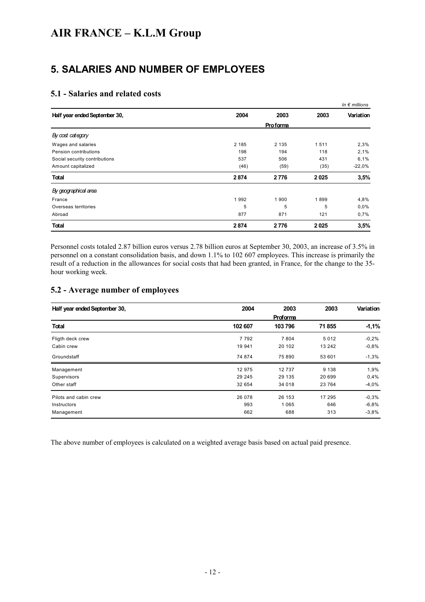### **5. SALARIES AND NUMBER OF EMPLOYEES**

#### **5.1 - Salaries and related costs**

|                               |         |          |      | In $\epsilon$ millions |
|-------------------------------|---------|----------|------|------------------------|
| Half year ended September 30, | 2004    | 2003     | 2003 | Variation              |
|                               |         | Proforma |      |                        |
| By cost category              |         |          |      |                        |
| Wages and salaries            | 2 1 8 5 | 2 1 3 5  | 1511 | 2,3%                   |
| Pension contributions         | 198     | 194      | 118  | 2,1%                   |
| Social security contributions | 537     | 506      | 431  | 6,1%                   |
| Amount capitalized            | (46)    | (59)     | (35) | $-22,0%$               |
| <b>Total</b>                  | 2874    | 2776     | 2025 | 3,5%                   |
| By geographical area          |         |          |      |                        |
| France                        | 1992    | 1900     | 1899 | 4,8%                   |
| Overseas territories          | 5       | 5        | 5    | 0,0%                   |
| Abroad                        | 877     | 871      | 121  | 0,7%                   |
| <b>Total</b>                  | 2874    | 2776     | 2025 | 3,5%                   |

Personnel costs totaled 2.87 billion euros versus 2.78 billion euros at September 30, 2003, an increase of 3.5% in personnel on a constant consolidation basis, and down 1.1% to 102 607 employees. This increase is primarily the result of a reduction in the allowances for social costs that had been granted, in France, for the change to the 35 hour working week.

#### **5.2 - Average number of employees**

| Half year ended September 30, | 2004    | 2003     | 2003    | <b>Variation</b> |
|-------------------------------|---------|----------|---------|------------------|
|                               |         | Proforma |         |                  |
| <b>Total</b>                  | 102 607 | 103796   | 71855   | $-1,1%$          |
| Fligth deck crew              | 7 7 9 2 | 7 8 0 4  | 5012    | $-0,2%$          |
| Cabin crew                    | 19 941  | 20 10 2  | 13 24 2 | $-0.8%$          |
| Groundstaff                   | 74 874  | 75 890   | 53 601  | $-1,3%$          |
| Management                    | 12 975  | 12 737   | 9 1 3 8 | 1,9%             |
| Supervisors                   | 29 245  | 29 135   | 20 699  | 0,4%             |
| Other staff                   | 32 654  | 34 018   | 23 7 64 | $-4,0%$          |
| Pilots and cabin crew         | 26 078  | 26 153   | 17 295  | $-0,3%$          |
| Instructors                   | 993     | 1 0 6 5  | 646     | $-6.8%$          |
| Management                    | 662     | 688      | 313     | $-3.8%$          |

The above number of employees is calculated on a weighted average basis based on actual paid presence.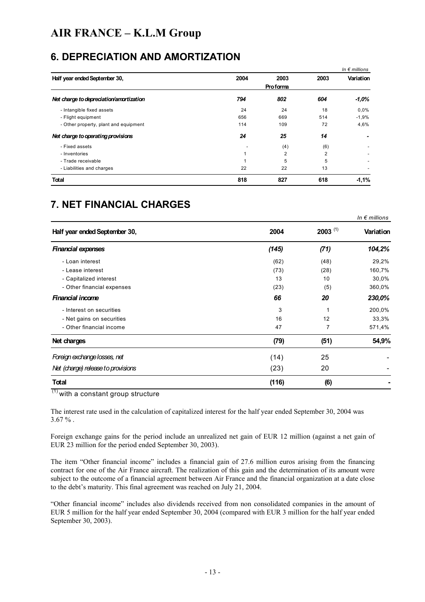### **6. DEPRECIATION AND AMORTIZATION**

|                                         |      |                 |                | In $\epsilon$ millions |
|-----------------------------------------|------|-----------------|----------------|------------------------|
| Half year ended September 30,           | 2004 | 2003            | 2003           | Variation              |
|                                         |      | <b>Proforma</b> |                |                        |
| Net charge to depreciation/amortization | 794  | 802             | 604            | -1.0%                  |
| - Intangible fixed assets               | 24   | 24              | 18             | $0.0\%$                |
| - Flight equipment                      | 656  | 669             | 514            | $-1,9%$                |
| - Other property, plant and equipment   | 114  | 109             | 72             | 4,6%                   |
| Net charge to operating provisions      | 24   | 25              | 14             |                        |
| - Fixed assets                          |      | (4)             | (6)            |                        |
| - Inventories                           |      | $\overline{2}$  | $\overline{2}$ |                        |
| - Trade receivable                      |      | 5               | 5              |                        |
| - Liabilities and charges               | 22   | 22              | 13             |                        |
| <b>Total</b>                            | 818  | 827             | 618            | $-1,1%$                |

## **7. NET FINANCIAL CHARGES**

| Half year ended September 30,      | 2004  | $2003$ <sup>(1)</sup> | Variation |
|------------------------------------|-------|-----------------------|-----------|
| <b>Financial expenses</b>          | (145) | (71)                  | 104,2%    |
| - Loan interest                    | (62)  | (48)                  | 29,2%     |
| - Lease interest                   | (73)  | (28)                  | 160,7%    |
| - Capitalized interest             | 13    | 10                    | 30,0%     |
| - Other financial expenses         | (23)  | (5)                   | 360,0%    |
| <b>Financial income</b>            | 66    | 20                    | 230,0%    |
| - Interest on securities           | 3     |                       | 200,0%    |
| - Net gains on securities          | 16    | 12                    | 33,3%     |
| - Other financial income           | 47    |                       | 571,4%    |
| Net charges                        | (79)  | (51)                  | 54,9%     |
| Foreign exchange losses, net       | (14)  | 25                    |           |
| Net (charge) release to provisions | (23)  | 20                    |           |
| <b>Total</b>                       | (116) | (6)                   |           |

*In € millions*

 $(1)$  with a constant group structure

The interest rate used in the calculation of capitalized interest for the half year ended September 30, 2004 was  $3.67\%$ .

Foreign exchange gains for the period include an unrealized net gain of EUR 12 million (against a net gain of EUR 23 million for the period ended September 30, 2003).

The item "Other financial income" includes a financial gain of 27.6 million euros arising from the financing contract for one of the Air France aircraft. The realization of this gain and the determination of its amount were subject to the outcome of a financial agreement between Air France and the financial organization at a date close to the debt's maturity. This final agreement was reached on July 21, 2004.

"Other financial income" includes also dividends received from non consolidated companies in the amount of EUR 5 million for the half year ended September 30, 2004 (compared with EUR 3 million for the half year ended September 30, 2003).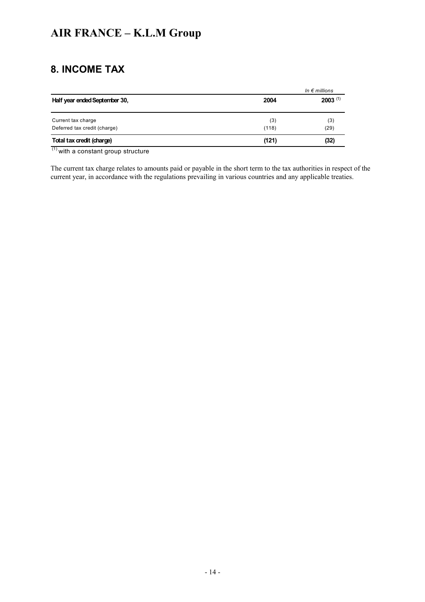## **8. INCOME TAX**

|                               |       | In $\epsilon$ millions |
|-------------------------------|-------|------------------------|
| Half year ended September 30, | 2004  | $2003^{(1)}$           |
| Current tax charge            | (3)   | (3)                    |
| Deferred tax credit (charge)  | (118) | (29)                   |
| Total tax credit (charge)     | (121) | (32)                   |

 $<sup>(1)</sup>$  with a constant group structure</sup>

The current tax charge relates to amounts paid or payable in the short term to the tax authorities in respect of the current year, in accordance with the regulations prevailing in various countries and any applicable treaties.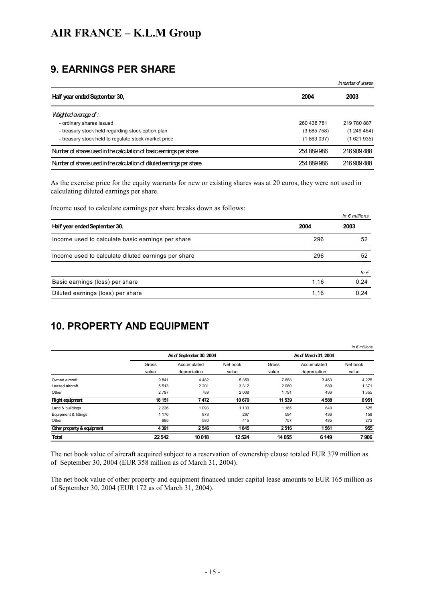## **9. EARNINGS PER SHARE**

|                                                                        |             | Innumber of shares |
|------------------------------------------------------------------------|-------------|--------------------|
| Half year ended September 30,                                          | 2004        | 2003               |
| <i><b>Meighted average of :</b></i>                                    |             |                    |
| - ordinary shares issued                                               | 260 438 781 | 219 780 887        |
| - treasury stock held regarding stock option plan                      | (3685758)   | (1249464)          |
| - treasury stock held to regulate stock market price                   | (1863037)   | (1621935)          |
| Number of shares used in the calculation of basic earnings per share   | 254 889 986 | 216 909 488        |
| Number of shares used in the calculation of diluted earnings per share | 254 889 986 | 216 909 488        |

As the exercise price for the equity warrants for new or existing shares was at 20 euros, they were not used in calculating diluted earnings per share.

Income used to calculate earnings per share breaks down as follows:

|                                                     |      | In $\epsilon$ millions |
|-----------------------------------------------------|------|------------------------|
| Half year ended September 30,                       | 2004 | 2003                   |
| Income used to calculate basic earnings per share   | 296  | 52                     |
| Income used to calculate diluted earnings per share | 296  | 52                     |
|                                                     |      | In $\epsilon$          |
| Basic earnings (loss) per share                     | 1.16 | 0,24                   |
| Diluted earnings (loss) per share                   | 1.16 | 0.24                   |

## **10. PROPERTY AND EQUIPMENT**

|                            |         |                          |          |         |                      | In $\epsilon$ millions |
|----------------------------|---------|--------------------------|----------|---------|----------------------|------------------------|
|                            |         | As of September 30, 2004 |          |         | As of March 31, 2004 |                        |
|                            | Gross   | Accumulated              | Net book | Gross   | Accumulated          | Net book               |
|                            | value   | depreciation             | value    | value   | depreciation         | value                  |
| Owned aircraft             | 9841    | 4 4 8 2                  | 5 3 5 9  | 7688    | 3463                 | 4 2 2 5                |
| Leased aircraft            | 5513    | 2 2 0 1                  | 3 3 1 2  | 2 0 6 0 | 689                  | 1 3 7 1                |
| Other                      | 2797    | 789                      | 2 0 0 8  | 1791    | 436                  | 1 3 5 5                |
| <b>Flight equipment</b>    | 18 151  | 7472                     | 10679    | 11 539  | 4588                 | 6951                   |
| Land & buildings           | 2 2 2 6 | 1093                     | 1 1 3 3  | 1 1 6 5 | 640                  | 525                    |
| Equipment & fittings       | 1 1 7 0 | 873                      | 297      | 594     | 436                  | 158                    |
| Other                      | 995     | 580                      | 415      | 757     | 485                  | 272                    |
| Other property & equipment | 4391    | 2546                     | 1845     | 2516    | 1561                 | 955                    |
| <b>Total</b>               | 22542   | 10018                    | 12 5 24  | 14 0 55 | 6 1 4 9              | 7906                   |

The net book value of aircraft acquired subject to a reservation of ownership clause totaled EUR 379 million as of September 30, 2004 (EUR 358 million as of March 31, 2004).

The net book value of other property and equipment financed under capital lease amounts to EUR 165 million as of September 30, 2004 (EUR 172 as of March 31, 2004).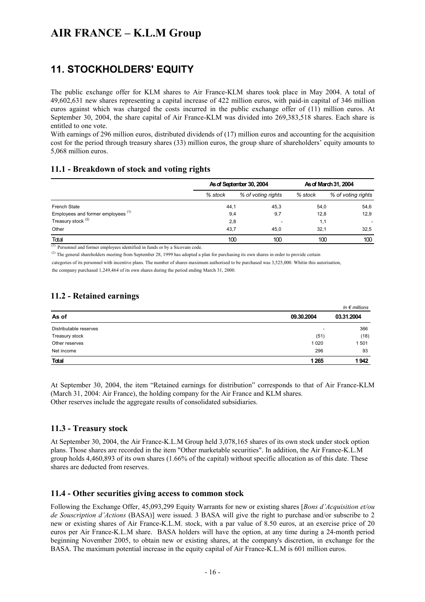## **11. STOCKHOLDERS' EQUITY**

The public exchange offer for KLM shares to Air France-KLM shares took place in May 2004. A total of 49,602,631 new shares representing a capital increase of 422 million euros, with paid-in capital of 346 million euros against which was charged the costs incurred in the public exchange offer of (11) million euros. At September 30, 2004, the share capital of Air France-KLM was divided into 269,383,518 shares. Each share is entitled to one vote.

With earnings of 296 million euros, distributed dividends of (17) million euros and accounting for the acquisition cost for the period through treasury shares (33) million euros, the group share of shareholders' equity amounts to 5,068 million euros.

#### **11.1 - Breakdown of stock and voting rights**

|                                               | As of September 30, 2004 |                    | As of March 31, 2004 |                    |
|-----------------------------------------------|--------------------------|--------------------|----------------------|--------------------|
|                                               | % stock                  | % of voting rights | % stock              | % of voting rights |
| <b>French State</b>                           | 44,1                     | 45,3               | 54.0                 | 54,6               |
| Employees and former employees <sup>(1)</sup> | 9,4                      | 9,7                | 12,8                 | 12,9               |
| Treasury stock <sup>(2)</sup>                 | 2,8                      |                    | 1,1                  |                    |
| Other                                         | 43.7                     | 45.0               | 32.1                 | 32,5               |
| Total                                         | 100                      | 100                | 100                  | 100                |

(1) Personnel and former employees identified in funds or by a Sicovam code.

 $^{(2)}$  The general shareholders meeting from September 28, 1999 has adopted a plan for purchasing its own shares in order to provide certain

categories of its personnel with incentive plans. The number of shares maximum authorised to be purchased was 3,525,000. Whitin this autorisation, the company purchased 1,249,464 of its own shares during the period ending March 31, 2000.

#### **11.2 - Retained earnings**

|                        |                          | In $\epsilon$ millions |
|------------------------|--------------------------|------------------------|
| As of                  | 09.30.2004               | 03.31.2004             |
| Distributable reserves | $\overline{\phantom{0}}$ | 366                    |
| Treasury stock         | (51)                     | (18)                   |
| Other reserves         | 1 0 2 0                  | 1501                   |
| Net income             | 296                      | 93                     |
| <b>Total</b>           | 1 2 6 5                  | 1942                   |

At September 30, 2004, the item "Retained earnings for distribution" corresponds to that of Air France-KLM (March 31, 2004: Air France), the holding company for the Air France and KLM shares. Other reserves include the aggregate results of consolidated subsidiaries.

#### **11.3 - Treasury stock**

At September 30, 2004, the Air France-K.L.M Group held 3,078,165 shares of its own stock under stock option plans. Those shares are recorded in the item "Other marketable securities". In addition, the Air France-K.L.M group holds 4,460,893 of its own shares (1.66% of the capital) without specific allocation as of this date. These shares are deducted from reserves.

#### **11.4 - Other securities giving access to common stock**

Following the Exchange Offer, 45,093,299 Equity Warrants for new or existing shares [*Bons d'Acquisition et/ou de Souscription d'Actions* (BASA)] were issued. 3 BASA will give the right to purchase and/or subscribe to 2 new or existing shares of Air France-K.L.M. stock, with a par value of 8.50 euros, at an exercise price of 20 euros per Air France-K.L.M share. BASA holders will have the option, at any time during a 24-month period beginning November 2005, to obtain new or existing shares, at the company's discretion, in exchange for the BASA. The maximum potential increase in the equity capital of Air France-K.L.M is 601 million euros.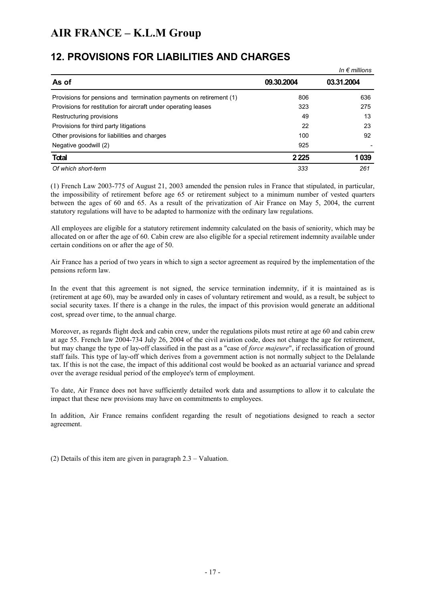### **12. PROVISIONS FOR LIABILITIES AND CHARGES**

|                                                                    |            | In $\epsilon$ millions |
|--------------------------------------------------------------------|------------|------------------------|
| As of                                                              | 09.30.2004 | 03.31.2004             |
| Provisions for pensions and termination payments on retirement (1) | 806        | 636                    |
| Provisions for restitution for aircraft under operating leases     | 323        | 275                    |
| Restructuring provisions                                           | 49         | 13                     |
| Provisions for third party litigations                             | 22         | 23                     |
| Other provisions for liabilities and charges                       | 100        | 92                     |
| Negative goodwill (2)                                              | 925        |                        |
| <b>Total</b>                                                       | 2 2 2 5    | 1039                   |
| Of which short-term                                                | 333        | 261                    |

(1) French Law 2003-775 of August 21, 2003 amended the pension rules in France that stipulated, in particular, the impossibility of retirement before age 65 or retirement subject to a minimum number of vested quarters between the ages of 60 and 65. As a result of the privatization of Air France on May 5, 2004, the current statutory regulations will have to be adapted to harmonize with the ordinary law regulations.

All employees are eligible for a statutory retirement indemnity calculated on the basis of seniority, which may be allocated on or after the age of 60. Cabin crew are also eligible for a special retirement indemnity available under certain conditions on or after the age of 50.

Air France has a period of two years in which to sign a sector agreement as required by the implementation of the pensions reform law.

In the event that this agreement is not signed, the service termination indemnity, if it is maintained as is (retirement at age 60), may be awarded only in cases of voluntary retirement and would, as a result, be subject to social security taxes. If there is a change in the rules, the impact of this provision would generate an additional cost, spread over time, to the annual charge.

Moreover, as regards flight deck and cabin crew, under the regulations pilots must retire at age 60 and cabin crew at age 55. French law 2004-734 July 26, 2004 of the civil aviation code, does not change the age for retirement, but may change the type of lay-off classified in the past as a "case of *force majeure*", if reclassification of ground staff fails. This type of lay-off which derives from a government action is not normally subject to the Delalande tax. If this is not the case, the impact of this additional cost would be booked as an actuarial variance and spread over the average residual period of the employee's term of employment.

To date, Air France does not have sufficiently detailed work data and assumptions to allow it to calculate the impact that these new provisions may have on commitments to employees.

In addition, Air France remains confident regarding the result of negotiations designed to reach a sector agreement.

(2) Details of this item are given in paragraph 2.3 – Valuation.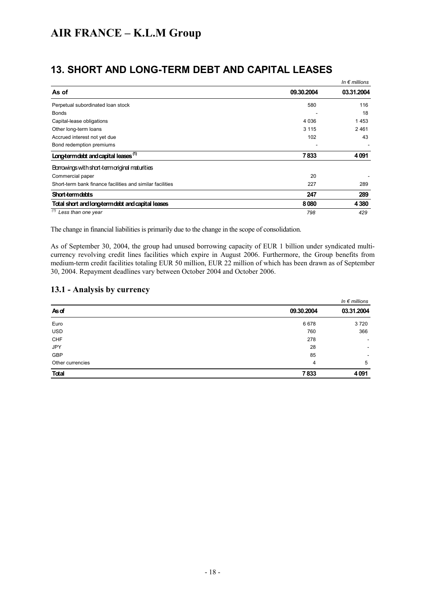|  |  |  | <b>13. SHORT AND LONG-TERM DEBT AND CAPITAL LEASES</b> |  |
|--|--|--|--------------------------------------------------------|--|
|--|--|--|--------------------------------------------------------|--|

|                                                           |            | In $\epsilon$ millions |
|-----------------------------------------------------------|------------|------------------------|
| As of                                                     | 09.30.2004 | 03.31.2004             |
| Perpetual subordinated loan stock                         | 580        | 116                    |
| <b>Bonds</b>                                              |            | 18                     |
| Capital-lease obligations                                 | 4 0 3 6    | 1453                   |
| Other long-term loans                                     | 3 1 1 5    | 2461                   |
| Accrued interest not yet due                              | 102        | 43                     |
| Bond redemption premiums                                  |            |                        |
| Long-term debt and capital leases <sup>(1)</sup>          | 7833       | 4091                   |
| Borrowings with short-termoriginal maturities             |            |                        |
| Commercial paper                                          | 20         |                        |
| Short-term bank finance facilities and similar facilities | 227        | 289                    |
| <b>Short-termdebts</b>                                    | 247        | 289                    |
| Total short and long-term debt and capital leases         | 8080       | 4 3 8 0                |
| $\overline{1/1/2}$ Less than one year                     | 798        | 429                    |

The change in financial liabilities is primarily due to the change in the scope of consolidation.

As of September 30, 2004, the group had unused borrowing capacity of EUR 1 billion under syndicated multicurrency revolving credit lines facilities which expire in August 2006. Furthermore, the Group benefits from medium-term credit facilities totaling EUR 50 million, EUR 22 million of which has been drawn as of September 30, 2004. Repayment deadlines vary between October 2004 and October 2006.

#### **13.1 - Analysis by currency**

|                  |                | In $\epsilon$ millions |
|------------------|----------------|------------------------|
| As of            | 09.30.2004     | 03.31.2004             |
| Euro             | 6678           | 3720                   |
| <b>USD</b>       | 760            | 366                    |
| CHF              | 278            | ٠                      |
| <b>JPY</b>       | 28             | ۰                      |
| GBP              | 85             |                        |
| Other currencies | $\overline{4}$ | 5                      |
| Total            | 7833           | 4091                   |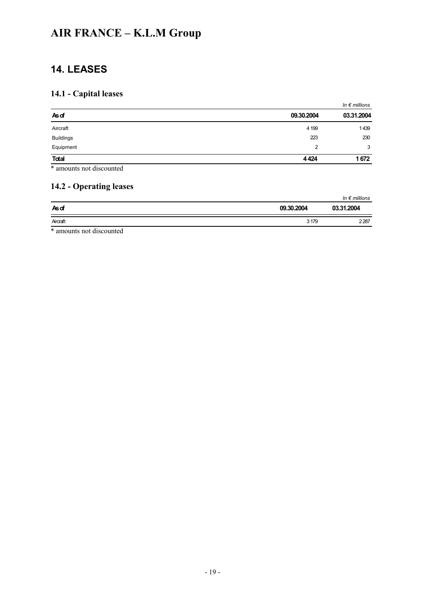## **14. LEASES**

### **14.1 - Capital leases**

|                         |                | In $\epsilon$ millions |
|-------------------------|----------------|------------------------|
| Asof                    | 09.30.2004     | 03.31.2004             |
| Aircraft                | 4 1 9 9        | 1439                   |
| <b>Buildings</b>        | 223            | 230                    |
| Equipment               | $\overline{2}$ | 3                      |
| <b>Total</b>            | 4424           | 1672                   |
| $\sim$ $\sim$<br>$\sim$ |                |                        |

\* amounts not discounted

#### **14.2 - Operating leases**

|                                                    |            | In $\epsilon$ millions |
|----------------------------------------------------|------------|------------------------|
| <b>As</b> of                                       | 09.30.2004 | 03.31.2004             |
| Aircraft                                           | 3 1 7 9    | 2287                   |
| والمتعدد والمكاف العماميا وتعتدد والمدورة الافتراط |            |                        |

\* amounts not discounted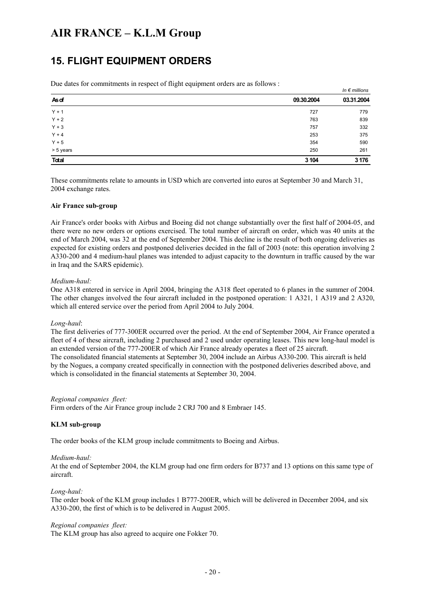### **15. FLIGHT EQUIPMENT ORDERS**

Due dates for commitments in respect of flight equipment orders are as follows :

|              |            | $m \epsilon$ munous |
|--------------|------------|---------------------|
| Asof         | 09.30.2004 | 03.31.2004          |
| $Y + 1$      | 727        | 779                 |
| $Y + 2$      | 763        | 839                 |
| $Y + 3$      | 757        | 332                 |
| $Y + 4$      | 253        | 375                 |
| $Y + 5$      | 354        | 590                 |
| > 5 years    | 250        | 261                 |
| <b>Total</b> | 3 1 0 4    | 3 1 7 6             |
|              |            |                     |

*In € millions*

These commitments relate to amounts in USD which are converted into euros at September 30 and March 31, 2004 exchange rates.

#### **Air France sub-group**

Air France's order books with Airbus and Boeing did not change substantially over the first half of 2004-05, and there were no new orders or options exercised. The total number of aircraft on order, which was 40 units at the end of March 2004, was 32 at the end of September 2004. This decline is the result of both ongoing deliveries as expected for existing orders and postponed deliveries decided in the fall of 2003 (note: this operation involving 2 A330-200 and 4 medium-haul planes was intended to adjust capacity to the downturn in traffic caused by the war in Iraq and the SARS epidemic).

#### *Medium-haul:*

One A318 entered in service in April 2004, bringing the A318 fleet operated to 6 planes in the summer of 2004. The other changes involved the four aircraft included in the postponed operation: 1 A321, 1 A319 and 2 A320, which all entered service over the period from April 2004 to July 2004.

#### *Long-haul*:

The first deliveries of 777-300ER occurred over the period. At the end of September 2004, Air France operated a fleet of 4 of these aircraft, including 2 purchased and 2 used under operating leases. This new long-haul model is an extended version of the 777-200ER of which Air France already operates a fleet of 25 aircraft. The consolidated financial statements at September 30, 2004 include an Airbus A330-200. This aircraft is held by the Nogues, a company created specifically in connection with the postponed deliveries described above, and which is consolidated in the financial statements at September 30, 2004.

#### *Regional companies fleet:*

Firm orders of the Air France group include 2 CRJ 700 and 8 Embraer 145.

#### **KLM sub-group**

The order books of the KLM group include commitments to Boeing and Airbus.

#### *Medium-haul:*

At the end of September 2004, the KLM group had one firm orders for B737 and 13 options on this same type of aircraft.

#### *Long-haul:*

The order book of the KLM group includes 1 B777-200ER, which will be delivered in December 2004, and six A330-200, the first of which is to be delivered in August 2005.

#### *Regional companies fleet:*

The KLM group has also agreed to acquire one Fokker 70.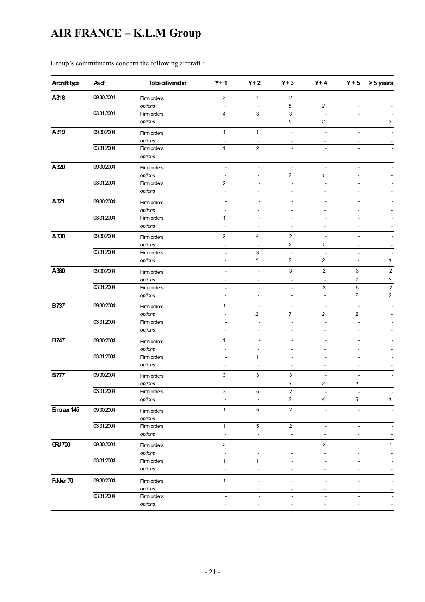| Aircraft type  | Asdf       | <b>Tobe delivered in</b> | $Y+1$                    | $Y+2$                        | $Y + 3$                  | $Y+4$                    | $Y + 5$                  | > 5 years               |
|----------------|------------|--------------------------|--------------------------|------------------------------|--------------------------|--------------------------|--------------------------|-------------------------|
| A318           | 09.30.2004 | Firm orders              | 3                        | 4                            | $\overline{c}$           | L,                       |                          |                         |
|                |            | options                  | $\tilde{\phantom{a}}$    | $\blacksquare$               | 5                        | 2                        |                          |                         |
|                | 03.31.2004 | Firm orders              | $\overline{4}$           | 3                            | $\mathbf{3}$             | L.                       | ÷                        |                         |
|                |            | options                  | $\overline{a}$           | $\blacksquare$               | 5                        | 2                        | L,                       | 3                       |
| A319           | 09.30.2004 | Firm orders              | $\mathbf{1}$             | $\mathbf{1}$                 | $\overline{\phantom{a}}$ | ä,                       | ä,                       |                         |
|                |            | options                  |                          |                              | -                        | ٠                        |                          |                         |
|                | 03.31.2004 | Firm orders              | $\mathbf{1}$             | $\overline{2}$               | $\overline{\phantom{a}}$ |                          | $\overline{a}$           |                         |
|                |            | options                  | $\overline{a}$           | $\blacksquare$               | $\overline{\phantom{a}}$ | $\overline{a}$           | $\overline{a}$           |                         |
| A320           | 09.30.2004 | Firm orders              | ÷,                       |                              |                          |                          |                          |                         |
|                |            | options                  | $\overline{\phantom{a}}$ | $\overline{\phantom{a}}$     | $\overline{\mathbf{c}}$  | 1                        | $\overline{\phantom{a}}$ |                         |
|                | 03.31.2004 | Firm orders              | $\overline{2}$           |                              | L,                       |                          |                          |                         |
|                |            | options                  | $\overline{\phantom{a}}$ | $\overline{a}$               | $\overline{a}$           | Ĭ.                       | $\overline{a}$           |                         |
| A321           | 09.30.2004 | Firm orders              | $\overline{\phantom{a}}$ | L,                           | ÷,                       |                          | ÷,                       |                         |
|                |            | options                  | $\overline{\phantom{a}}$ | $\overline{\phantom{a}}$     | $\overline{\phantom{a}}$ | $\overline{\phantom{a}}$ | $\tilde{\phantom{a}}$    |                         |
|                | 03.31.2004 | Firm orders              | $\mathbf{1}$             | L,                           | L,                       | ÷,                       | ÷,                       |                         |
|                |            | options                  | $\overline{a}$           | $\overline{a}$               | $\overline{a}$           | $\overline{\phantom{a}}$ | $\overline{a}$           |                         |
| A330           | 09.30.2004 |                          | $\overline{2}$           | $\overline{4}$               | $\overline{2}$           | ÷.                       | ÷                        |                         |
|                |            | Firm orders              |                          |                              |                          |                          |                          |                         |
|                | 03.31.2004 | options                  |                          | $\overline{a}$               | 2                        | 1                        |                          |                         |
|                |            | Firm orders              | ä,                       | 3<br>$\mathbf{1}$            |                          |                          | $\overline{\phantom{a}}$ |                         |
|                |            | options                  | ۰                        |                              | 2                        | 2                        |                          | 1                       |
| A380           | 09.30.2004 | Firm orders              | ä,                       | L,                           | $\mathsf 3$              | $\mathbf 2$              | 3                        | $\sqrt{2}$              |
|                |            | options                  | $\blacksquare$           | $\overline{a}$               | $\tilde{\phantom{a}}$    | $\overline{\phantom{a}}$ | $\pmb{\mathcal{1}}$      | 3                       |
|                | 03.31.2004 | Firm orders              | ÷                        | L.                           | ÷.                       | 3                        | $\mathbf 5$              | $\boldsymbol{2}$        |
|                |            | options                  | ä,                       | $\overline{\phantom{a}}$     | $\overline{\phantom{a}}$ | $\blacksquare$           | $\overline{c}$           | $\overline{\mathbf{c}}$ |
| <b>B737</b>    | 09.30.2004 | Firm orders              | $\mathbf{1}$             | ÷,                           | $\overline{\phantom{a}}$ | ÷,                       | $\overline{a}$           |                         |
|                |            | options                  | $\blacksquare$           | 2                            | $\overline{7}$           | 2                        | 2                        |                         |
|                | 03.31.2004 | Firm orders              | $\overline{\phantom{a}}$ | ÷,                           | $\overline{\phantom{a}}$ | ÷,                       | ÷,                       |                         |
|                |            | options                  | $\overline{a}$           | $\overline{a}$               | $\blacksquare$           | $\overline{a}$           | $\overline{a}$           |                         |
| <b>B747</b>    | 09.30.2004 | Firm orders              | $\mathbf{1}$             | $\qquad \qquad \blacksquare$ | $\overline{a}$           | $\overline{a}$           | $\overline{a}$           |                         |
|                |            | options                  | $\overline{\phantom{a}}$ | $\overline{\phantom{a}}$     | $\overline{\phantom{a}}$ | $\overline{\phantom{a}}$ |                          |                         |
|                | 03.31.2004 | Firm orders              | $\overline{\phantom{a}}$ | $\mathbf{1}$                 | $\overline{\phantom{a}}$ | $\overline{\phantom{a}}$ | $\overline{\phantom{a}}$ |                         |
|                |            | options                  | ä,                       | $\overline{\phantom{a}}$     | $\tilde{\phantom{a}}$    | $\tilde{\phantom{a}}$    | ä,                       |                         |
| <b>B777</b>    | 09.30.2004 | Firm orders              | 3                        | 3                            | 3                        | $\overline{a}$           | $\overline{a}$           |                         |
|                |            | options                  | $\tilde{\phantom{a}}$    | $\overline{\phantom{a}}$     | 3                        | 3                        | 4                        |                         |
|                | 03.31.2004 | Firm orders              | 3                        | 5                            | $\overline{2}$           | ÷                        | ÷                        |                         |
|                |            | options                  |                          |                              | $\overline{\mathbf{c}}$  | 4                        | 3                        | $\mathbf{1}$            |
| Entraer 145    | 09.30.2004 | Firm orders              | $\mathbf{1}$             | 5                            | $\mathbf 2$              | ÷                        | $\overline{a}$           |                         |
|                |            | options                  | $\overline{\phantom{a}}$ | $\overline{\phantom{a}}$     | $\blacksquare$           |                          |                          |                         |
|                | 03.31.2004 | Firm orders              | $\mathbf{1}$             | 5                            | $\boldsymbol{2}$         |                          |                          |                         |
|                |            | options                  | $\overline{a}$           | $\overline{\phantom{a}}$     | $\overline{\phantom{a}}$ |                          |                          |                         |
| <b>CRJ 700</b> | 09.30.2004 |                          | $\overline{2}$           | $\overline{\phantom{a}}$     | $\overline{\phantom{a}}$ | $\mathbf{2}$             | $\overline{\phantom{a}}$ | $\mathbf{1}$            |
|                |            | Firm orders              |                          |                              |                          |                          |                          |                         |
|                | 03.31.2004 | options                  |                          |                              |                          |                          |                          |                         |
|                |            | Firm orders              | 1                        | $\mathbf{1}$                 | $\overline{a}$           |                          | ٠                        |                         |
|                |            | options                  |                          |                              |                          |                          |                          |                         |
| Fokker 70      | 09.30.2004 | Firm orders              | $\mathbf{1}$             |                              |                          |                          |                          |                         |
|                |            | options                  |                          |                              |                          |                          |                          |                         |
|                | 03.31.2004 | Firm orders              | $\overline{\phantom{a}}$ |                              |                          |                          |                          |                         |
|                |            | options                  |                          |                              |                          |                          |                          |                         |
|                |            |                          |                          |                              |                          |                          |                          |                         |

Group's commitments concern the following aircraft :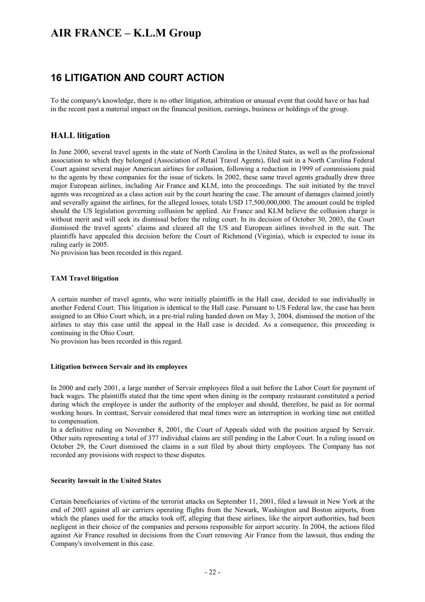### **16 LITIGATION AND COURT ACTION**

To the company's knowledge, there is no other litigation, arbitration or unusual event that could have or has had in the recent past a material impact on the financial position, earnings, business or holdings of the group.

#### **HALL litigation**

In June 2000, several travel agents in the state of North Carolina in the United States, as well as the professional association to which they belonged (Association of Retail Travel Agents), filed suit in a North Carolina Federal Court against several major American airlines for collusion, following a reduction in 1999 of commissions paid to the agents by these companies for the issue of tickets. In 2002, these same travel agents gradually drew three major European airlines, including Air France and KLM, into the proceedings. The suit initiated by the travel agents was recognized as a class action suit by the court hearing the case. The amount of damages claimed jointly and severally against the airlines, for the alleged losses, totals USD 17,500,000,000. The amount could be tripled should the US legislation governing collusion be applied. Air France and KLM believe the collusion charge is without merit and will seek its dismissal before the ruling court. In its decision of October 30, 2003, the Court dismissed the travel agents' claims and cleared all the US and European airlines involved in the suit. The plaintiffs have appealed this decision before the Court of Richmond (Virginia), which is expected to issue its ruling early in 2005.

No provision has been recorded in this regard.

#### **TAM Travel litigation**

A certain number of travel agents, who were initially plaintiffs in the Hall case, decided to sue individually in another Federal Court. This litigation is identical to the Hall case. Pursuant to US Federal law, the case has been assigned to an Ohio Court which, in a pre-trial ruling handed down on May 3, 2004, dismissed the motion of the airlines to stay this case until the appeal in the Hall case is decided. As a consequence, this proceeding is continuing in the Ohio Court.

No provision has been recorded in this regard.

#### **Litigation between Servair and its employees**

In 2000 and early 2001, a large number of Servair employees filed a suit before the Labor Court for payment of back wages. The plaintiffs stated that the time spent when dining in the company restaurant constituted a period during which the employee is under the authority of the employer and should, therefore, be paid as for normal working hours. In contrast, Servair considered that meal times were an interruption in working time not entitled to compensation.

In a definitive ruling on November 8, 2001, the Court of Appeals sided with the position argued by Servair. Other suits representing a total of 377 individual claims are still pending in the Labor Court. In a ruling issued on October 29, the Court dismissed the claims in a suit filed by about thirty employees. The Company has not recorded any provisions with respect to these disputes.

#### **Security lawsuit in the United States**

Certain beneficiaries of victims of the terrorist attacks on September 11, 2001, filed a lawsuit in New York at the end of 2003 against all air carriers operating flights from the Newark, Washington and Boston airports, from which the planes used for the attacks took off, alleging that these airlines, like the airport authorities, had been negligent in their choice of the companies and persons responsible for airport security. In 2004, the actions filed against Air France resulted in decisions from the Court removing Air France from the lawsuit, thus ending the Company's involvement in this case.